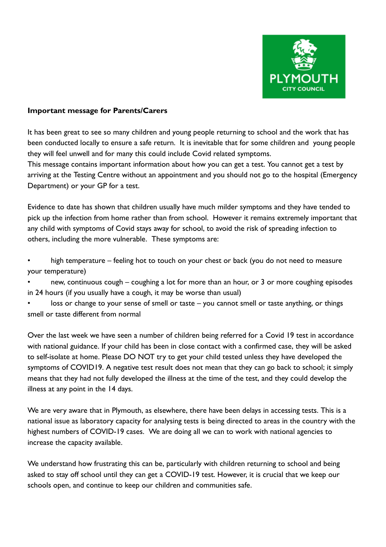

## **Important message for Parents/Carers**

It has been great to see so many children and young people returning to school and the work that has been conducted locally to ensure a safe return. It is inevitable that for some children and young people they will feel unwell and for many this could include Covid related symptoms.

This message contains important information about how you can get a test. You cannot get a test by arriving at the Testing Centre without an appointment and you should not go to the hospital (Emergency Department) or your GP for a test.

Evidence to date has shown that children usually have much milder symptoms and they have tended to pick up the infection from home rather than from school. However it remains extremely important that any child with symptoms of Covid stays away for school, to avoid the risk of spreading infection to others, including the more vulnerable. These symptoms are:

high temperature – feeling hot to touch on your chest or back (you do not need to measure your temperature)

• new, continuous cough – coughing a lot for more than an hour, or 3 or more coughing episodes in 24 hours (if you usually have a cough, it may be worse than usual)

loss or change to your sense of smell or taste – you cannot smell or taste anything, or things smell or taste different from normal

Over the last week we have seen a number of children being referred for a Covid 19 test in accordance with national guidance. If your child has been in close contact with a confirmed case, they will be asked to self-isolate at home. Please DO NOT try to get your child tested unless they have developed the symptoms of COVID19. A negative test result does not mean that they can go back to school; it simply means that they had not fully developed the illness at the time of the test, and they could develop the illness at any point in the 14 days.

We are very aware that in Plymouth, as elsewhere, there have been delays in accessing tests. This is a national issue as laboratory capacity for analysing tests is being directed to areas in the country with the highest numbers of COVID-19 cases. We are doing all we can to work with national agencies to increase the capacity available.

We understand how frustrating this can be, particularly with children returning to school and being asked to stay off school until they can get a COVID-19 test. However, it is crucial that we keep our schools open, and continue to keep our children and communities safe.